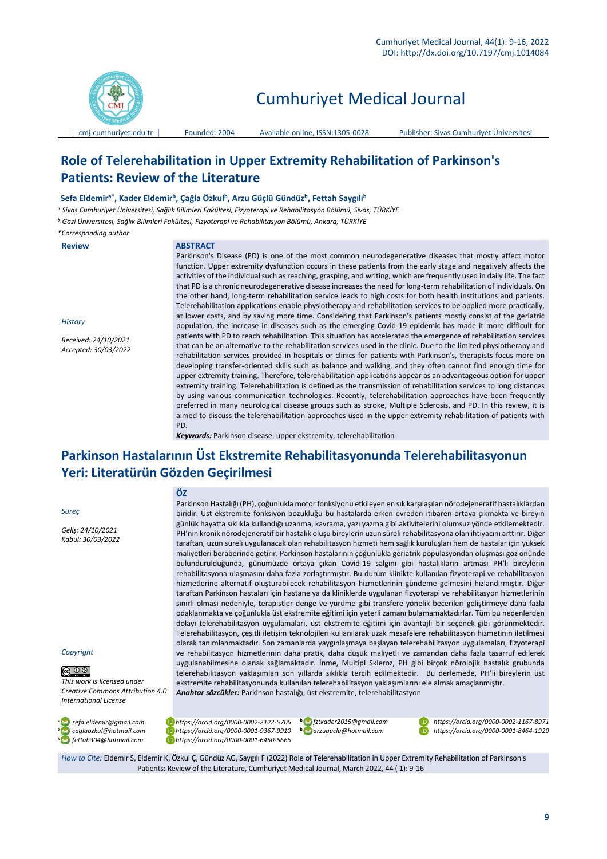

Cumhuriyet Medical Journal

│ [cmj.cumhuriyet.edu.tr](http://xxx.cumhuriyet.edu.tr/) │ Founded: 2004 Available online, ISSN:1305-0028 Publisher: Sivas Cumhuriyet Üniversitesi

# **Role of Telerehabilitation in Upper Extremity Rehabilitation of Parkinson's Patients: Review of the Literature**

#### **Sefa Eldemira\* , Kader Eldemir<sup>b</sup> , Çağla Özkul<sup>b</sup> , Arzu Güçlü Gündüz<sup>b</sup> , Fettah Saygılı<sup>b</sup>**

*<sup>a</sup> Sivas Cumhuriyet Üniversitesi, Sağlık Bilimleri Fakültesi, Fizyoterapi ve Rehabilitasyon Bölümü, Sivas, TÜRKİYE* 

*<sup>b</sup> Gazi Üniversitesi, Sağlık Bilimleri Fakültesi, Fizyoterapi ve Rehabilitasyon Bölümü, Ankara, TÜRKİYE* 

*\*Corresponding author*

*Received: 24/10/2021 Accepted: 30/03/2022*

**Review**

*History*

**ABSTRACT**

**ÖZ**

Parkinson's Disease (PD) is one of the most common neurodegenerative diseases that mostly affect motor function. Upper extremity dysfunction occurs in these patients from the early stage and negatively affects the activities of the individual such as reaching, grasping, and writing, which are frequently used in daily life. The fact that PD is a chronic neurodegenerative disease increases the need for long-term rehabilitation of individuals. On the other hand, long-term rehabilitation service leads to high costs for both health institutions and patients. Telerehabilitation applications enable physiotherapy and rehabilitation services to be applied more practically, at lower costs, and by saving more time. Considering that Parkinson's patients mostly consist of the geriatric population, the increase in diseases such as the emerging Covid-19 epidemic has made it more difficult for patients with PD to reach rehabilitation. This situation has accelerated the emergence of rehabilitation services that can be an alternative to the rehabilitation services used in the clinic. Due to the limited physiotherapy and rehabilitation services provided in hospitals or clinics for patients with Parkinson's, therapists focus more on developing transfer-oriented skills such as balance and walking, and they often cannot find enough time for upper extremity training. Therefore, telerehabilitation applications appear as an advantageous option for upper extremity training. Telerehabilitation is defined as the transmission of rehabilitation services to long distances by using various communication technologies. Recently, telerehabilitation approaches have been frequently preferred in many neurological disease groups such as stroke, Multiple Sclerosis, and PD. In this review, it is aimed to discuss the telerehabilitation approaches used in the upper extremity rehabilitation of patients with PD.

Parkinson Hastalığı (PH), çoğunlukla motor fonksiyonu etkileyen en sık karşılaşılan nörodejeneratif hastalıklardan biridir. Üst ekstremite fonksiyon bozukluğu bu hastalarda erken evreden itibaren ortaya çıkmakta ve bireyin günlük hayatta sıklıkla kullandığı uzanma, kavrama, yazı yazma gibi aktivitelerini olumsuz yönde etkilemektedir. PH'nin kronik nörodejeneratif bir hastalık oluşu bireylerin uzun süreli rehabilitasyona olan ihtiyacını arttırır. Diğer taraftan, uzun süreli uygulanacak olan rehabilitasyon hizmeti hem sağlık kuruluşları hem de hastalar için yüksek maliyetleri beraberinde getirir. Parkinson hastalarının çoğunlukla geriatrik popülasyondan oluşması göz önünde bulundurulduğunda, günümüzde ortaya çıkan Covid-19 salgını gibi hastalıkların artması PH'li bireylerin rehabilitasyona ulaşmasını daha fazla zorlaştırmıştır. Bu durum klinikte kullanılan fizyoterapi ve rehabilitasyon hizmetlerine alternatif oluşturabilecek rehabilitasyon hizmetlerinin gündeme gelmesini hızlandırmıştır. Diğer taraftan Parkinson hastaları için hastane ya da kliniklerde uygulanan fizyoterapi ve rehabilitasyon hizmetlerinin sınırlı olması nedeniyle, terapistler denge ve yürüme gibi transfere yönelik becerileri geliştirmeye daha fazla odaklanmakta ve çoğunlukla üst ekstremite eğitimi için yeterli zamanı bulamamaktadırlar. Tüm bu nedenlerden dolayı telerehabilitasyon uygulamaları, üst ekstremite eğitimi için avantajlı bir seçenek gibi görünmektedir. Telerehabilitasyon, çeşitli iletişim teknolojileri kullanılarak uzak mesafelere rehabilitasyon hizmetinin iletilmesi olarak tanımlanmaktadır. Son zamanlarda yaygınlaşmaya başlayan telerehabilitasyon uygulamaları, fizyoterapi ve rehabilitasyon hizmetlerinin daha pratik, daha düşük maliyetli ve zamandan daha fazla tasarruf edilerek uygulanabilmesine olanak sağlamaktadır. İnme, Multipl Skleroz, PH gibi birçok nörolojik hastalık grubunda telerehabilitasyon yaklaşımları son yıllarda sıklıkla tercih edilmektedir. Bu derlemede, PH'li bireylerin üst

*Keywords:* Parkinson disease, upper ekstremity, telerehabilitation

# **Parkinson Hastalarının Üst Ekstremite Rehabilitasyonunda Telerehabilitasyonun Yeri: Literatürün Gözden Geçirilmesi**

# *Süreç*

*Geliş: 24/10/2021 Kabul: 30/03/2022*

#### *Copyright*

 $\circledcirc$ 

*This work is licensed under Creative Commons Attribution 4.0 International License*

**a b**

**s** sefa.eldemir@gmail.com <mark>iD</mark> https://orcid.org/0000-0002-2122-5706 betal.php?tkader2015@gmail.com<br>3 caglaozkul@hotmail.com <mark>iD</mark> https://orcid.org/0000-0001-9367-9910 betal.przuguclu@hotmail.com **<sup>b</sup>** *caglaozkul@hotmail.com https://orcid.org/0000-0001-9367-9910***<sup>b</sup>** *arzuguclu@hotmail.com https://orcid.org/0000-0001-8464-1929 fettah304@hotmail.com https://orcid.org/0000-0001-6450-6666*

ekstremite rehabilitasyonunda kullanılan telerehabilitasyon yaklaşımlarını ele almak amaçlanmıştır.

*fztkader2015@gmail.com https://orcid.org/0000-0002-1167-8971*

*How to Cite:* Eldemir S, Eldemir K, Özkul Ç, Gündüz AG, Saygılı F (2022) Role of Telerehabilitation in Upper Extremity Rehabilitation of Parkinson's Patients: Review of the Literature, Cumhuriyet Medical Journal, March 2022, 44 ( 1): 9-16

*Anahtar sözcükler:* Parkinson hastalığı, üst ekstremite, telerehabilitastyon

**9**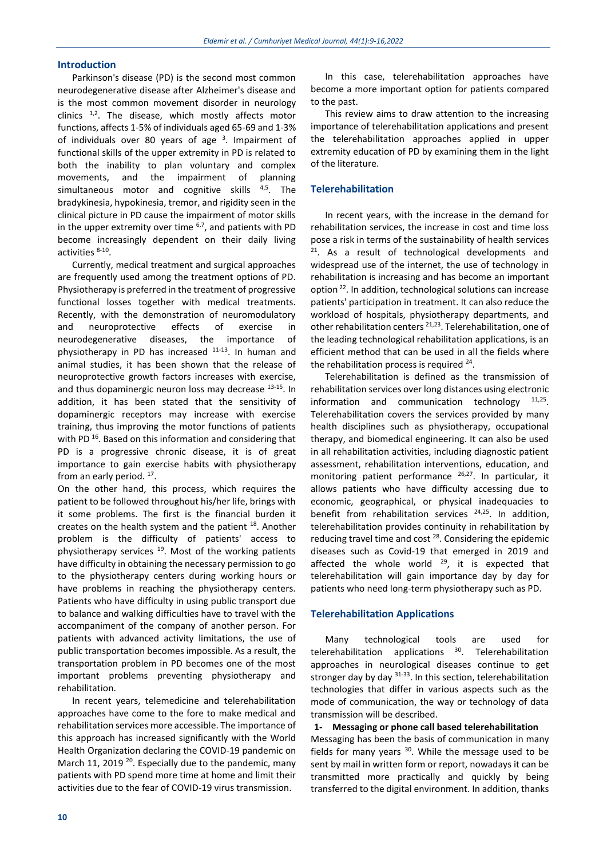## **Introduction**

Parkinson's disease (PD) is the second most common neurodegenerative disease after Alzheimer's disease and is the most common movement disorder in neurology clinics  $1,2$ . The disease, which mostly affects motor functions, affects 1-5% of individuals aged 65-69 and 1-3% of individuals over 80 years of age <sup>3</sup>. Impairment of functional skills of the upper extremity in PD is related to both the inability to plan voluntary and complex movements, and the impairment of planning simultaneous motor and cognitive skills <sup>4,5</sup>. The bradykinesia, hypokinesia, tremor, and rigidity seen in the clinical picture in PD cause the impairment of motor skills in the upper extremity over time  $6,7$ , and patients with PD become increasingly dependent on their daily living activities <sup>8-10</sup>.

Currently, medical treatment and surgical approaches are frequently used among the treatment options of PD. Physiotherapy is preferred in the treatment of progressive functional losses together with medical treatments. Recently, with the demonstration of neuromodulatory and neuroprotective effects of exercise in neurodegenerative diseases, the importance of physiotherapy in PD has increased  $11-13$ . In human and animal studies, it has been shown that the release of neuroprotective growth factors increases with exercise, and thus dopaminergic neuron loss may decrease <sup>13-15</sup>. In addition, it has been stated that the sensitivity of dopaminergic receptors may increase with exercise training, thus improving the motor functions of patients with PD<sup>16</sup>. Based on this information and considering that PD is a progressive chronic disease, it is of great importance to gain exercise habits with physiotherapy from an early period.<sup>17</sup>.

On the other hand, this process, which requires the patient to be followed throughout his/her life, brings with it some problems. The first is the financial burden it creates on the health system and the patient  $18$ . Another problem is the difficulty of patients' access to physiotherapy services <sup>19</sup>. Most of the working patients have difficulty in obtaining the necessary permission to go to the physiotherapy centers during working hours or have problems in reaching the physiotherapy centers. Patients who have difficulty in using public transport due to balance and walking difficulties have to travel with the accompaniment of the company of another person. For patients with advanced activity limitations, the use of public transportation becomes impossible. As a result, the transportation problem in PD becomes one of the most important problems preventing physiotherapy and rehabilitation.

In recent years, telemedicine and telerehabilitation approaches have come to the fore to make medical and rehabilitation services more accessible. The importance of this approach has increased significantly with the World Health Organization declaring the COVID-19 pandemic on March 11, 2019<sup>20</sup>. Especially due to the pandemic, many patients with PD spend more time at home and limit their activities due to the fear of COVID-19 virus transmission.

In this case, telerehabilitation approaches have become a more important option for patients compared to the past.

This review aims to draw attention to the increasing importance of telerehabilitation applications and present the telerehabilitation approaches applied in upper extremity education of PD by examining them in the light of the literature.

## **Telerehabilitation**

In recent years, with the increase in the demand for rehabilitation services, the increase in cost and time loss pose a risk in terms of the sustainability of health services  $21.$  As a result of technological developments and widespread use of the internet, the use of technology in rehabilitation is increasing and has become an important option <sup>22</sup>. In addition, technological solutions can increase patients' participation in treatment. It can also reduce the workload of hospitals, physiotherapy departments, and other rehabilitation centers <sup>21,23</sup>. Telerehabilitation, one of the leading technological rehabilitation applications, is an efficient method that can be used in all the fields where the rehabilitation process is required  $24$ .

Telerehabilitation is defined as the transmission of rehabilitation services over long distances using electronic information and communication technology  $11,25$ . Telerehabilitation covers the services provided by many health disciplines such as physiotherapy, occupational therapy, and biomedical engineering. It can also be used in all rehabilitation activities, including diagnostic patient assessment, rehabilitation interventions, education, and monitoring patient performance  $^{26,27}$ . In particular, it allows patients who have difficulty accessing due to economic, geographical, or physical inadequacies to benefit from rehabilitation services <sup>24,25</sup>. In addition, telerehabilitation provides continuity in rehabilitation by reducing travel time and cost  $^{28}$ . Considering the epidemic diseases such as Covid-19 that emerged in 2019 and affected the whole world  $^{29}$ , it is expected that telerehabilitation will gain importance day by day for patients who need long-term physiotherapy such as PD.

## **Telerehabilitation Applications**

Many technological tools are used for telerehabilitation applications <sup>30</sup>. Telerehabilitation approaches in neurological diseases continue to get stronger day by day  $31-33$ . In this section, telerehabilitation technologies that differ in various aspects such as the mode of communication, the way or technology of data transmission will be described.

#### **1- Messaging or phone call based telerehabilitation**

Messaging has been the basis of communication in many fields for many years  $30$ . While the message used to be sent by mail in written form or report, nowadays it can be transmitted more practically and quickly by being transferred to the digital environment. In addition, thanks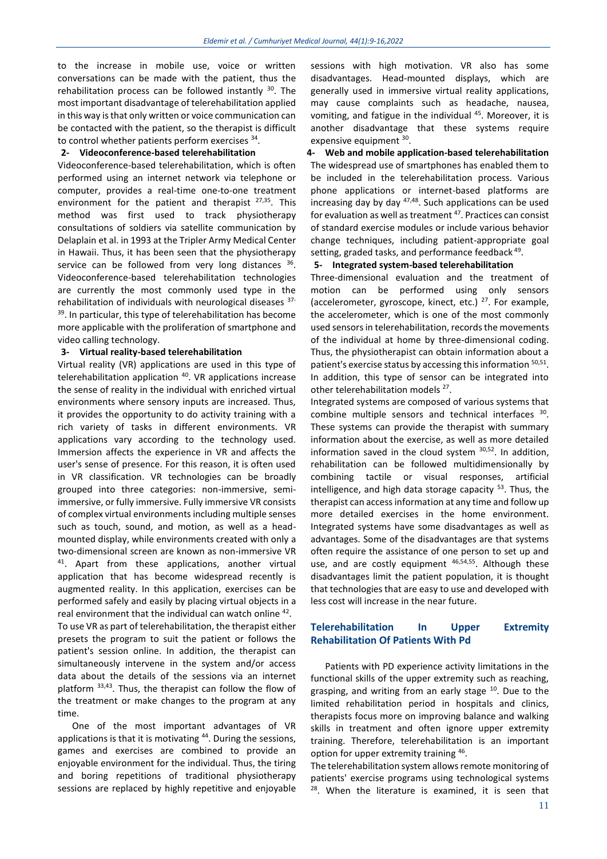to the increase in mobile use, voice or written conversations can be made with the patient, thus the rehabilitation process can be followed instantly  $30$ . The most important disadvantage of telerehabilitation applied in this way is that only written or voice communication can be contacted with the patient, so the therapist is difficult to control whether patients perform exercises <sup>34</sup>.

## **2- Videoconference-based telerehabilitation**

Videoconference-based telerehabilitation, which is often performed using an internet network via telephone or computer, provides a real-time one-to-one treatment environment for the patient and therapist  $27,35$ . This method was first used to track physiotherapy consultations of soldiers via satellite communication by Delaplain et al. in 1993 at the Tripler Army Medical Center in Hawaii. Thus, it has been seen that the physiotherapy service can be followed from very long distances  $36$ . Videoconference-based telerehabilitation technologies are currently the most commonly used type in the rehabilitation of individuals with neurological diseases 37- <sup>39</sup>. In particular, this type of telerehabilitation has become more applicable with the proliferation of smartphone and video calling technology.

## **3- Virtual reality-based telerehabilitation**

Virtual reality (VR) applications are used in this type of telerehabilitation application <sup>40</sup>. VR applications increase the sense of reality in the individual with enriched virtual environments where sensory inputs are increased. Thus, it provides the opportunity to do activity training with a rich variety of tasks in different environments. VR applications vary according to the technology used. Immersion affects the experience in VR and affects the user's sense of presence. For this reason, it is often used in VR classification. VR technologies can be broadly grouped into three categories: non-immersive, semiimmersive, or fully immersive. Fully immersive VR consists of complex virtual environments including multiple senses such as touch, sound, and motion, as well as a headmounted display, while environments created with only a two-dimensional screen are known as non-immersive VR <sup>41</sup>. Apart from these applications, another virtual application that has become widespread recently is augmented reality. In this application, exercises can be performed safely and easily by placing virtual objects in a real environment that the individual can watch online <sup>42</sup>. To use VR as part of telerehabilitation, the therapist either presets the program to suit the patient or follows the patient's session online. In addition, the therapist can

simultaneously intervene in the system and/or access data about the details of the sessions via an internet platform 33,43. Thus, the therapist can follow the flow of the treatment or make changes to the program at any time.

One of the most important advantages of VR applications is that it is motivating <sup>44</sup>. During the sessions, games and exercises are combined to provide an enjoyable environment for the individual. Thus, the tiring and boring repetitions of traditional physiotherapy sessions are replaced by highly repetitive and enjoyable sessions with high motivation. VR also has some disadvantages. Head-mounted displays, which are generally used in immersive virtual reality applications, may cause complaints such as headache, nausea, vomiting, and fatigue in the individual <sup>45</sup>. Moreover, it is another disadvantage that these systems require expensive equipment 30.

**4- Web and mobile application-based telerehabilitation** The widespread use of smartphones has enabled them to be included in the telerehabilitation process. Various phone applications or internet-based platforms are increasing day by day  $47,48$ . Such applications can be used for evaluation as well as treatment <sup>47</sup>. Practices can consist of standard exercise modules or include various behavior change techniques, including patient-appropriate goal setting, graded tasks, and performance feedback<sup>49</sup>.

### **5- Integrated system-based telerehabilitation**

Three-dimensional evaluation and the treatment of motion can be performed using only sensors (accelerometer, gyroscope, kinect, etc.) <sup>27</sup>. For example, the accelerometer, which is one of the most commonly used sensors in telerehabilitation, records the movements of the individual at home by three-dimensional coding. Thus, the physiotherapist can obtain information about a patient's exercise status by accessing this information  $50,51$ . In addition, this type of sensor can be integrated into other telerehabilitation models<sup>27</sup>.

Integrated systems are composed of various systems that combine multiple sensors and technical interfaces <sup>30</sup>. These systems can provide the therapist with summary information about the exercise, as well as more detailed information saved in the cloud system 30,52. In addition, rehabilitation can be followed multidimensionally by combining tactile or visual responses, artificial intelligence, and high data storage capacity  $53$ . Thus, the therapist can access information at any time and follow up more detailed exercises in the home environment. Integrated systems have some disadvantages as well as advantages. Some of the disadvantages are that systems often require the assistance of one person to set up and use, and are costly equipment <sup>46,54,55</sup>. Although these disadvantages limit the patient population, it is thought that technologies that are easy to use and developed with less cost will increase in the near future.

# **Telerehabilitation In Upper Extremity Rehabilitation Of Patients With Pd**

Patients with PD experience activity limitations in the functional skills of the upper extremity such as reaching, grasping, and writing from an early stage  $10$ . Due to the limited rehabilitation period in hospitals and clinics, therapists focus more on improving balance and walking skills in treatment and often ignore upper extremity training. Therefore, telerehabilitation is an important option for upper extremity training <sup>46</sup>.

The telerehabilitation system allows remote monitoring of patients' exercise programs using technological systems  $28$ . When the literature is examined, it is seen that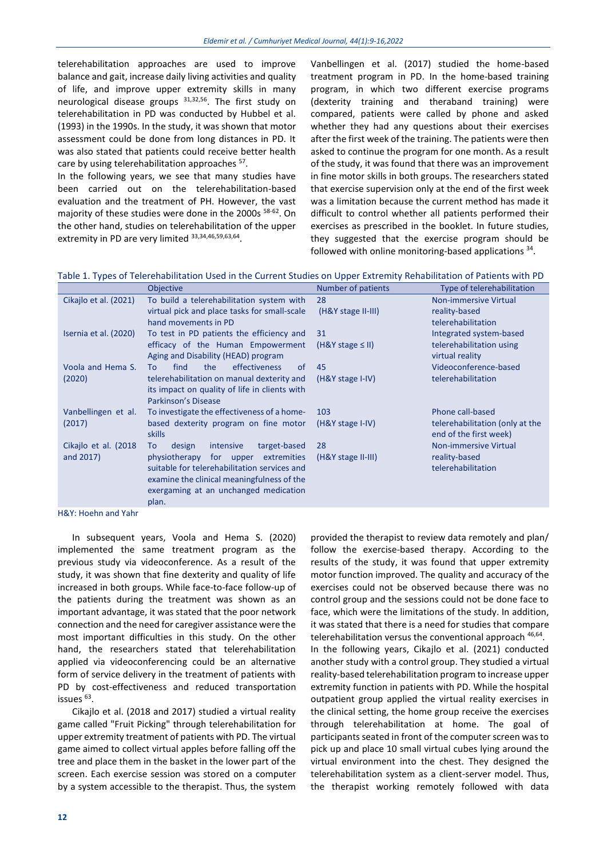telerehabilitation approaches are used to improve balance and gait, increase daily living activities and quality of life, and improve upper extremity skills in many neurological disease groups <sup>31,32,56</sup>. The first study on telerehabilitation in PD was conducted by Hubbel et al. (1993) in the 1990s. In the study, it was shown that motor assessment could be done from long distances in PD. It was also stated that patients could receive better health care by using telerehabilitation approaches <sup>57</sup>.

In the following years, we see that many studies have been carried out on the telerehabilitation-based evaluation and the treatment of PH. However, the vast majority of these studies were done in the 2000s 58-62. On the other hand, studies on telerehabilitation of the upper extremity in PD are very limited 33,34,46,59,63,64.

Vanbellingen et al. (2017) studied the home-based treatment program in PD. In the home-based training program, in which two different exercise programs (dexterity training and theraband training) were compared, patients were called by phone and asked whether they had any questions about their exercises after the first week of the training. The patients were then asked to continue the program for one month. As a result of the study, it was found that there was an improvement in fine motor skills in both groups. The researchers stated that exercise supervision only at the end of the first week was a limitation because the current method has made it difficult to control whether all patients performed their exercises as prescribed in the booklet. In future studies, they suggested that the exercise program should be followed with online monitoring-based applications <sup>34</sup>.

|                       | <b>Objective</b>                              | Number of patients             | Type of telerehabilitation      |
|-----------------------|-----------------------------------------------|--------------------------------|---------------------------------|
| Cikajlo et al. (2021) | To build a telerehabilitation system with     | 28                             | Non-immersive Virtual           |
|                       | virtual pick and place tasks for small-scale  | (H&Y stage II-III)             | reality-based                   |
|                       | hand movements in PD                          |                                | telerehabilitation              |
| Isernia et al. (2020) | To test in PD patients the efficiency and     | 31                             | Integrated system-based         |
|                       | efficacy of the Human Empowerment             | $(H&Y \text{ stage } \leq II)$ | telerehabilitation using        |
|                       | Aging and Disability (HEAD) program           |                                | virtual reality                 |
| Voola and Hema S.     | effectiveness<br>find<br>the<br>of<br>Τo      | 45                             | Videoconference-based           |
| (2020)                | telerehabilitation on manual dexterity and    | (H&Y stage I-IV)               | telerehabilitation              |
|                       | its impact on quality of life in clients with |                                |                                 |
|                       | Parkinson's Disease                           |                                |                                 |
| Vanbellingen et al.   | To investigate the effectiveness of a home-   | 103                            | Phone call-based                |
| (2017)                | based dexterity program on fine motor         | (H&Y stage I-IV)               | telerehabilitation (only at the |
|                       | <b>skills</b>                                 |                                | end of the first week)          |
| Cikajlo et al. (2018) | design<br>intensive<br>target-based<br>To     | 28                             | Non-immersive Virtual           |
| and 2017)             | physiotherapy<br>for upper<br>extremities     | (H&Y stage II-III)             | reality-based                   |
|                       | suitable for telerehabilitation services and  |                                | telerehabilitation              |
|                       | examine the clinical meaningfulness of the    |                                |                                 |
|                       | exergaming at an unchanged medication         |                                |                                 |
|                       | plan.                                         |                                |                                 |

H&Y: Hoehn and Yahr

In subsequent years, Voola and Hema S. (2020) implemented the same treatment program as the previous study via videoconference. As a result of the study, it was shown that fine dexterity and quality of life increased in both groups. While face-to-face follow-up of the patients during the treatment was shown as an important advantage, it was stated that the poor network connection and the need for caregiver assistance were the most important difficulties in this study. On the other hand, the researchers stated that telerehabilitation applied via videoconferencing could be an alternative form of service delivery in the treatment of patients with PD by cost-effectiveness and reduced transportation issues <sup>63</sup>.

Cikajlo et al. (2018 and 2017) studied a virtual reality game called "Fruit Picking" through telerehabilitation for upper extremity treatment of patients with PD. The virtual game aimed to collect virtual apples before falling off the tree and place them in the basket in the lower part of the screen. Each exercise session was stored on a computer by a system accessible to the therapist. Thus, the system

provided the therapist to review data remotely and plan/ follow the exercise-based therapy. According to the results of the study, it was found that upper extremity motor function improved. The quality and accuracy of the exercises could not be observed because there was no control group and the sessions could not be done face to face, which were the limitations of the study. In addition, it was stated that there is a need for studies that compare telerehabilitation versus the conventional approach <sup>46,64</sup>. In the following years, Cikajlo et al. (2021) conducted another study with a control group. They studied a virtual reality-based telerehabilitation program to increase upper extremity function in patients with PD. While the hospital outpatient group applied the virtual reality exercises in the clinical setting, the home group receive the exercises through telerehabilitation at home. The goal of participants seated in front of the computer screen was to pick up and place 10 small virtual cubes lying around the virtual environment into the chest. They designed the telerehabilitation system as a client-server model. Thus, the therapist working remotely followed with data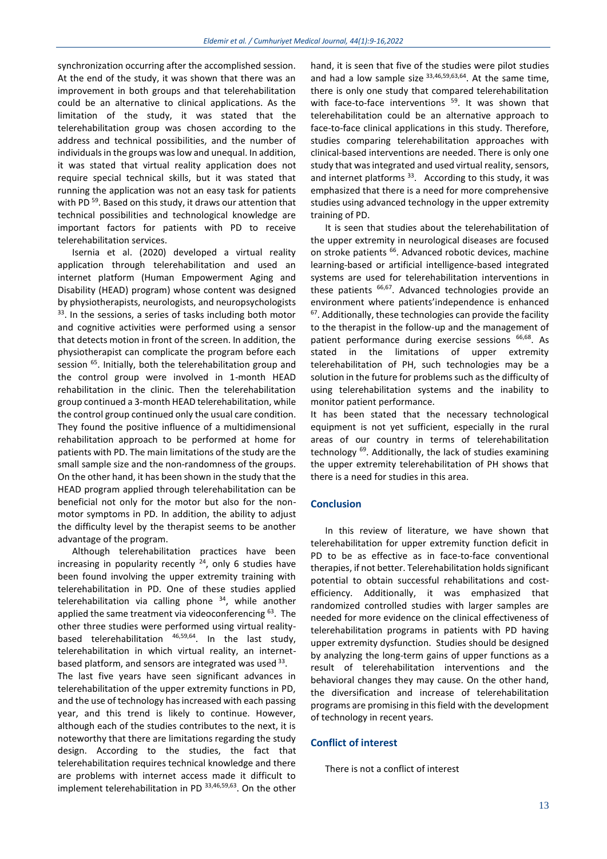synchronization occurring after the accomplished session. At the end of the study, it was shown that there was an improvement in both groups and that telerehabilitation could be an alternative to clinical applications. As the limitation of the study, it was stated that the telerehabilitation group was chosen according to the address and technical possibilities, and the number of individuals in the groups was low and unequal. In addition, it was stated that virtual reality application does not require special technical skills, but it was stated that running the application was not an easy task for patients with PD<sup>59</sup>. Based on this study, it draws our attention that technical possibilities and technological knowledge are important factors for patients with PD to receive telerehabilitation services.

Isernia et al. (2020) developed a virtual reality application through telerehabilitation and used an internet platform (Human Empowerment Aging and Disability (HEAD) program) whose content was designed by physiotherapists, neurologists, and neuropsychologists <sup>33</sup>. In the sessions, a series of tasks including both motor and cognitive activities were performed using a sensor that detects motion in front of the screen. In addition, the physiotherapist can complicate the program before each session <sup>65</sup>. Initially, both the telerehabilitation group and the control group were involved in 1-month HEAD rehabilitation in the clinic. Then the telerehabilitation group continued a 3-month HEAD telerehabilitation, while the control group continued only the usual care condition. They found the positive influence of a multidimensional rehabilitation approach to be performed at home for patients with PD. The main limitations of the study are the small sample size and the non-randomness of the groups. On the other hand, it has been shown in the study that the HEAD program applied through telerehabilitation can be beneficial not only for the motor but also for the nonmotor symptoms in PD. In addition, the ability to adjust the difficulty level by the therapist seems to be another advantage of the program.

Although telerehabilitation practices have been increasing in popularity recently  $24$ , only 6 studies have been found involving the upper extremity training with telerehabilitation in PD. One of these studies applied telerehabilitation via calling phone  $34$ , while another applied the same treatment via videoconferencing <sup>63</sup>. The other three studies were performed using virtual realitybased telerehabilitation 46,59,64. In the last study, telerehabilitation in which virtual reality, an internetbased platform, and sensors are integrated was used 33.

The last five years have seen significant advances in telerehabilitation of the upper extremity functions in PD, and the use of technology has increased with each passing year, and this trend is likely to continue. However, although each of the studies contributes to the next, it is noteworthy that there are limitations regarding the study design. According to the studies, the fact that telerehabilitation requires technical knowledge and there are problems with internet access made it difficult to implement telerehabilitation in PD<sup>33,46,59,63</sup>. On the other

hand, it is seen that five of the studies were pilot studies and had a low sample size  $33,46,59,63,64$ . At the same time, there is only one study that compared telerehabilitation with face-to-face interventions <sup>59</sup>. It was shown that telerehabilitation could be an alternative approach to face-to-face clinical applications in this study. Therefore, studies comparing telerehabilitation approaches with clinical-based interventions are needed. There is only one study that was integrated and used virtual reality, sensors, and internet platforms <sup>33</sup>. According to this study, it was emphasized that there is a need for more comprehensive studies using advanced technology in the upper extremity training of PD.

It is seen that studies about the telerehabilitation of the upper extremity in neurological diseases are focused on stroke patients <sup>66</sup>. Advanced robotic devices, machine learning-based or artificial intelligence-based integrated systems are used for telerehabilitation interventions in these patients 66,67. Advanced technologies provide an environment where patients'independence is enhanced  $67.$  Additionally, these technologies can provide the facility to the therapist in the follow-up and the management of patient performance during exercise sessions <sup>66,68</sup>. As stated in the limitations of upper extremity telerehabilitation of PH, such technologies may be a solution in the future for problems such as the difficulty of using telerehabilitation systems and the inability to monitor patient performance.

It has been stated that the necessary technological equipment is not yet sufficient, especially in the rural areas of our country in terms of telerehabilitation technology <sup>69</sup>. Additionally, the lack of studies examining the upper extremity telerehabilitation of PH shows that there is a need for studies in this area.

## **Conclusion**

In this review of literature, we have shown that telerehabilitation for upper extremity function deficit in PD to be as effective as in face-to-face conventional therapies, if not better. Telerehabilitation holds significant potential to obtain successful rehabilitations and costefficiency. Additionally, it was emphasized that randomized controlled studies with larger samples are needed for more evidence on the clinical effectiveness of telerehabilitation programs in patients with PD having upper extremity dysfunction. Studies should be designed by analyzing the long-term gains of upper functions as a result of telerehabilitation interventions and the behavioral changes they may cause. On the other hand, the diversification and increase of telerehabilitation programs are promising in this field with the development of technology in recent years.

## **Conflict of interest**

There is not a conflict of interest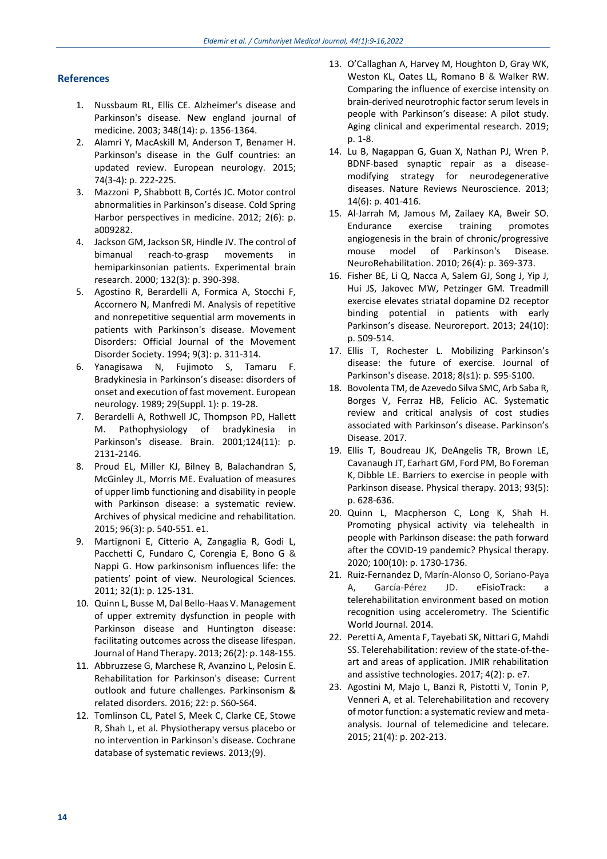## **References**

- 1. Nussbaum RL, Ellis CE. Alzheimer's disease and Parkinson's disease. New england journal of medicine. 2003; 348(14): p. 1356-1364.
- 2. Alamri Y, MacAskill M, Anderson T, Benamer H. Parkinson's disease in the Gulf countries: an updated review. European neurology. 2015; 74(3-4): p. 222-225.
- 3. Mazzoni P, Shabbott B, Cortés JC. Motor control abnormalities in Parkinson's disease. Cold Spring Harbor perspectives in medicine. 2012; 2(6): p. a009282.
- 4. Jackson GM, Jackson SR, Hindle JV. The control of bimanual reach-to-grasp movements in hemiparkinsonian patients. Experimental brain research. 2000; 132(3): p. 390-398.
- 5. Agostino R, Berardelli A, Formica A, Stocchi F, Accornero N, Manfredi M. Analysis of repetitive and nonrepetitive sequential arm movements in patients with Parkinson's disease. Movement Disorders: Official Journal of the Movement Disorder Society. 1994; 9(3): p. 311-314.
- 6. Yanagisawa N, Fujimoto S, Tamaru F. Bradykinesia in Parkinson's disease: disorders of onset and execution of fast movement. European neurology. 1989; 29(Suppl. 1): p. 19-28.
- 7. Berardelli A, Rothwell JC, Thompson PD, Hallett M. Pathophysiology of bradykinesia in Parkinson's disease. Brain. 2001;124(11): p. 2131-2146.
- 8. Proud EL, Miller KJ, Bilney B, Balachandran S, McGinley JL, Morris ME. Evaluation of measures of upper limb functioning and disability in people with Parkinson disease: a systematic review. Archives of physical medicine and rehabilitation. 2015; 96(3): p. 540-551. e1.
- 9. Martignoni E, Citterio A, Zangaglia R, Godi L, Pacchetti C, Fundaro C, Corengia E, Bono G & Nappi G. How parkinsonism influences life: the patients' point of view. Neurological Sciences. 2011; 32(1): p. 125-131.
- 10. Quinn L, Busse M, Dal Bello-Haas V. Management of upper extremity dysfunction in people with Parkinson disease and Huntington disease: facilitating outcomes across the disease lifespan. Journal of Hand Therapy. 2013; 26(2): p. 148-155.
- 11. Abbruzzese G, Marchese R, Avanzino L, Pelosin E. Rehabilitation for Parkinson's disease: Current outlook and future challenges. Parkinsonism & related disorders. 2016; 22: p. S60-S64.
- 12. Tomlinson CL, Patel S, Meek C, Clarke CE, Stowe R, Shah L, et al. Physiotherapy versus placebo or no intervention in Parkinson's disease. Cochrane database of systematic reviews. 2013;(9).
- 13. O'Callaghan A, Harvey M, Houghton D, Gray WK, Weston KL, Oates LL, Romano B & Walker RW. Comparing the influence of exercise intensity on brain-derived neurotrophic factor serum levels in people with Parkinson's disease: A pilot study. Aging clinical and experimental research. 2019; p. 1-8.
- 14. Lu B, Nagappan G, Guan X, Nathan PJ, Wren P. BDNF-based synaptic repair as a diseasemodifying strategy for neurodegenerative diseases. Nature Reviews Neuroscience. 2013; 14(6): p. 401-416.
- 15. Al-Jarrah M, Jamous M, Zailaey KA, Bweir SO. Endurance exercise training promotes angiogenesis in the brain of chronic/progressive mouse model of Parkinson's Disease. NeuroRehabilitation. 2010; 26(4): p. 369-373.
- 16. Fisher BE, Li Q, Nacca A, Salem GJ, Song J, Yip J, Hui JS, Jakovec MW, Petzinger GM. Treadmill exercise elevates striatal dopamine D2 receptor binding potential in patients with early Parkinson's disease. Neuroreport. 2013; 24(10): p. 509-514.
- 17. Ellis T, Rochester L. Mobilizing Parkinson's disease: the future of exercise. Journal of Parkinson's disease. 2018; 8(s1): p. S95-S100.
- 18. Bovolenta TM, de Azevedo Silva SMC, Arb Saba R, Borges V, Ferraz HB, Felicio AC. Systematic review and critical analysis of cost studies associated with Parkinson's disease. Parkinson's Disease. 2017.
- 19. Ellis T, Boudreau JK, DeAngelis TR, Brown LE, Cavanaugh JT, Earhart GM, Ford PM, Bo Foreman K, Dibble LE. Barriers to exercise in people with Parkinson disease. Physical therapy. 2013; 93(5): p. 628-636.
- 20. Quinn L, Macpherson C, Long K, Shah H. Promoting physical activity via telehealth in people with Parkinson disease: the path forward after the COVID-19 pandemic? Physical therapy. 2020; 100(10): p. 1730-1736.
- 21. Ruiz-Fernandez D, Marín-Alonso O, Soriano-Paya A, García-Pérez JD. eFisioTrack: a telerehabilitation environment based on motion recognition using accelerometry. The Scientific World Journal. 2014.
- 22. Peretti A, Amenta F, Tayebati SK, Nittari G, Mahdi SS. Telerehabilitation: review of the state-of-theart and areas of application. JMIR rehabilitation and assistive technologies. 2017; 4(2): p. e7.
- 23. Agostini M, Majo L, Banzi R, Pistotti V, Tonin P, Venneri A, et al. Telerehabilitation and recovery of motor function: a systematic review and metaanalysis. Journal of telemedicine and telecare. 2015; 21(4): p. 202-213.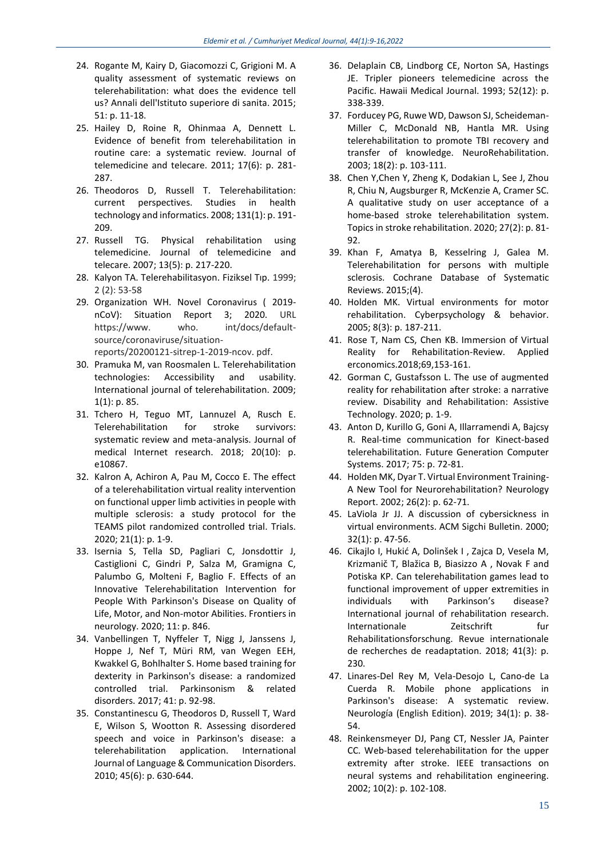- 24. Rogante M, Kairy D, Giacomozzi C, Grigioni M. A quality assessment of systematic reviews on telerehabilitation: what does the evidence tell us? Annali dell'Istituto superiore di sanita. 2015; 51: p. 11-18.
- 25. Hailey D, Roine R, Ohinmaa A, Dennett L. Evidence of benefit from telerehabilitation in routine care: a systematic review. Journal of telemedicine and telecare. 2011; 17(6): p. 281- 287.
- 26. Theodoros D, Russell T. Telerehabilitation: current perspectives. Studies in health technology and informatics. 2008; 131(1): p. 191- 209.
- 27. Russell TG. Physical rehabilitation using telemedicine. Journal of telemedicine and telecare. 2007; 13(5): p. 217-220.
- 28. Kalyon TA. Telerehabilitasyon. Fiziksel Tıp. 1999; 2 (2): 53-58
- 29. Organization WH. Novel Coronavirus ( 2019 nCoV): Situation Report 3; 2020. URL<br>https://www. who. int/docs/defaulthttps://www. who. int/docs/defaultsource/coronaviruse/situationreports/20200121-sitrep-1-2019-ncov. pdf.
- 30. Pramuka M, van Roosmalen L. Telerehabilitation technologies: Accessibility and usability. International journal of telerehabilitation. 2009; 1(1): p. 85.
- 31. Tchero H, Teguo MT, Lannuzel A, Rusch E. Telerehabilitation for stroke survivors: systematic review and meta-analysis. Journal of medical Internet research. 2018; 20(10): p. e10867.
- 32. Kalron A, Achiron A, Pau M, Cocco E. The effect of a telerehabilitation virtual reality intervention on functional upper limb activities in people with multiple sclerosis: a study protocol for the TEAMS pilot randomized controlled trial. Trials. 2020; 21(1): p. 1-9.
- 33. Isernia S, Tella SD, Pagliari C, Jonsdottir J, Castiglioni C, Gindri P, Salza M, Gramigna C, Palumbo G, Molteni F, Baglio F. Effects of an Innovative Telerehabilitation Intervention for People With Parkinson's Disease on Quality of Life, Motor, and Non-motor Abilities. Frontiers in neurology. 2020; 11: p. 846.
- 34. Vanbellingen T, Nyffeler T, Nigg J, Janssens J, Hoppe J, Nef T, Müri RM, van Wegen EEH, Kwakkel G, Bohlhalter S. Home based training for dexterity in Parkinson's disease: a randomized controlled trial. Parkinsonism & related disorders. 2017; 41: p. 92-98.
- 35. Constantinescu G, Theodoros D, Russell T, Ward E, Wilson S, Wootton R. Assessing disordered speech and voice in Parkinson's disease: a telerehabilitation application. International Journal of Language & Communication Disorders. 2010; 45(6): p. 630-644.
- 36. Delaplain CB, Lindborg CE, Norton SA, Hastings JE. Tripler pioneers telemedicine across the Pacific. Hawaii Medical Journal. 1993; 52(12): p. 338-339.
- 37. Forducey PG, Ruwe WD, Dawson SJ, Scheideman-Miller C, McDonald NB, Hantla MR. Using telerehabilitation to promote TBI recovery and transfer of knowledge. NeuroRehabilitation. 2003; 18(2): p. 103-111.
- 38. Chen Y,Chen Y, Zheng K, Dodakian L, See J, Zhou R, Chiu N, Augsburger R, McKenzie A, Cramer SC. A qualitative study on user acceptance of a home-based stroke telerehabilitation system. Topics in stroke rehabilitation. 2020; 27(2): p. 81- 92.
- 39. Khan F, Amatya B, Kesselring J, Galea M. Telerehabilitation for persons with multiple sclerosis. Cochrane Database of Systematic Reviews. 2015;(4).
- 40. Holden MK. Virtual environments for motor rehabilitation. Cyberpsychology & behavior. 2005; 8(3): p. 187-211.
- 41. Rose T, Nam CS, Chen KB. Immersion of Virtual Reality for Rehabilitation-Review. Applied erconomics.2018;69,153-161.
- 42. Gorman C, Gustafsson L. The use of augmented reality for rehabilitation after stroke: a narrative review. Disability and Rehabilitation: Assistive Technology. 2020; p. 1-9.
- 43. Anton D, Kurillo G, Goni A, Illarramendi A, Bajcsy R. Real-time communication for Kinect-based telerehabilitation. Future Generation Computer Systems. 2017; 75: p. 72-81.
- 44. Holden MK, Dyar T. Virtual Environment Training-A New Tool for Neurorehabilitation? Neurology Report. 2002; 26(2): p. 62-71.
- 45. LaViola Jr JJ. A discussion of cybersickness in virtual environments. ACM Sigchi Bulletin. 2000; 32(1): p. 47-56.
- 46. Cikajlo I, Hukić A, Dolinšek I , Zajca D, Vesela M, Krizmanič T, Blažica B, Biasizzo A , Novak F and Potiska KP. Can telerehabilitation games lead to functional improvement of upper extremities in individuals with Parkinson's disease? International journal of rehabilitation research. Internationale Zeitschrift fur Rehabilitationsforschung. Revue internationale de recherches de readaptation. 2018; 41(3): p. 230.
- 47. Linares-Del Rey M, Vela-Desojo L, Cano-de La Cuerda R. Mobile phone applications in Parkinson's disease: A systematic review. Neurología (English Edition). 2019; 34(1): p. 38- 54.
- 48. Reinkensmeyer DJ, Pang CT, Nessler JA, Painter CC. Web-based telerehabilitation for the upper extremity after stroke. IEEE transactions on neural systems and rehabilitation engineering. 2002; 10(2): p. 102-108.